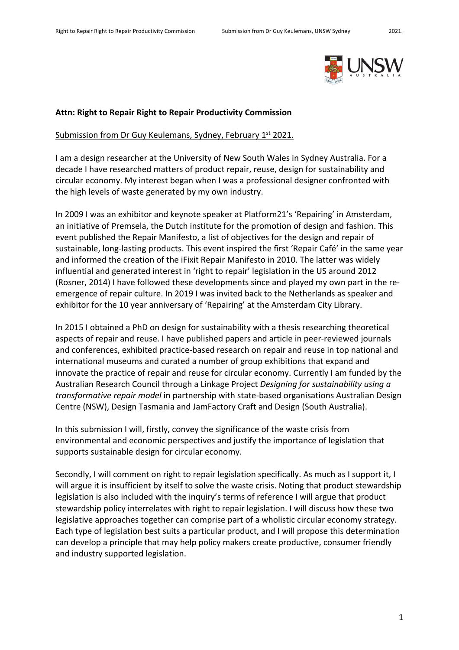

### **Attn: Right to Repair Right to Repair Productivity Commission**

### Submission from Dr Guy Keulemans, Sydney, February 1st 2021.

I am a design researcher at the University of New South Wales in Sydney Australia. For a decade I have researched matters of product repair, reuse, design for sustainability and circular economy. My interest began when I was a professional designer confronted with the high levels of waste generated by my own industry.

In 2009 I was an exhibitor and keynote speaker at Platform21's 'Repairing' in Amsterdam, an initiative of Premsela, the Dutch institute for the promotion of design and fashion. This event published the Repair Manifesto, a list of objectives for the design and repair of sustainable, long-lasting products. This event inspired the first 'Repair Café' in the same year and informed the creation of the iFixit Repair Manifesto in 2010. The latter was widely influential and generated interest in 'right to repair' legislation in the US around 2012 (Rosner, 2014) I have followed these developments since and played my own part in the reemergence of repair culture. In 2019 I was invited back to the Netherlands as speaker and exhibitor for the 10 year anniversary of 'Repairing' at the Amsterdam City Library.

In 2015 I obtained a PhD on design for sustainability with a thesis researching theoretical aspects of repair and reuse. I have published papers and article in peer-reviewed journals and conferences, exhibited practice-based research on repair and reuse in top national and international museums and curated a number of group exhibitions that expand and innovate the practice of repair and reuse for circular economy. Currently I am funded by the Australian Research Council through a Linkage Project *Designing for sustainability using a transformative repair model* in partnership with state-based organisations Australian Design Centre (NSW), Design Tasmania and JamFactory Craft and Design (South Australia).

In this submission I will, firstly, convey the significance of the waste crisis from environmental and economic perspectives and justify the importance of legislation that supports sustainable design for circular economy.

Secondly, I will comment on right to repair legislation specifically. As much as I support it, I will argue it is insufficient by itself to solve the waste crisis. Noting that product stewardship legislation is also included with the inquiry's terms of reference I will argue that product stewardship policy interrelates with right to repair legislation. I will discuss how these two legislative approaches together can comprise part of a wholistic circular economy strategy. Each type of legislation best suits a particular product, and I will propose this determination can develop a principle that may help policy makers create productive, consumer friendly and industry supported legislation.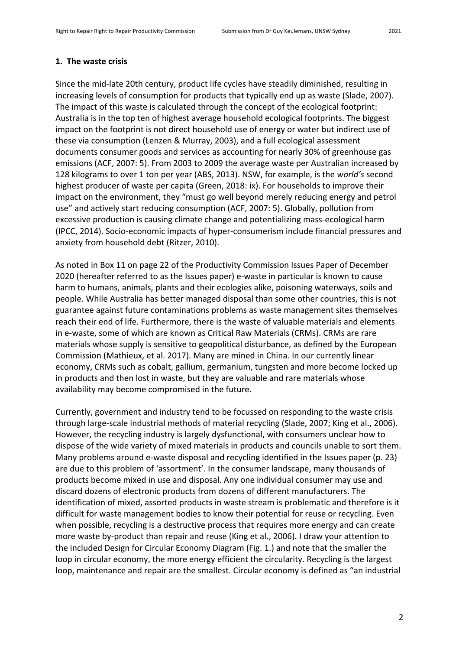## **1. The waste crisis**

Since the mid-late 20th century, product life cycles have steadily diminished, resulting in increasing levels of consumption for products that typically end up as waste (Slade, 2007). The impact of this waste is calculated through the concept of the ecological footprint: Australia is in the top ten of highest average household ecological footprints. The biggest impact on the footprint is not direct household use of energy or water but indirect use of these via consumption (Lenzen & Murray, 2003), and a full ecological assessment documents consumer goods and services as accounting for nearly 30% of greenhouse gas emissions (ACF, 2007: 5). From 2003 to 2009 the average waste per Australian increased by 128 kilograms to over 1 ton per year (ABS, 2013). NSW, for example, is the *world's* second highest producer of waste per capita (Green, 2018: ix). For households to improve their impact on the environment, they "must go well beyond merely reducing energy and petrol use" and actively start reducing consumption (ACF, 2007: 5). Globally, pollution from excessive production is causing climate change and potentializing mass-ecological harm (IPCC, 2014). Socio-economic impacts of hyper-consumerism include financial pressures and anxiety from household debt (Ritzer, 2010).

As noted in Box 11 on page 22 of the Productivity Commission Issues Paper of December 2020 (hereafter referred to as the Issues paper) e-waste in particular is known to cause harm to humans, animals, plants and their ecologies alike, poisoning waterways, soils and people. While Australia has better managed disposal than some other countries, this is not guarantee against future contaminations problems as waste management sites themselves reach their end of life. Furthermore, there is the waste of valuable materials and elements in e-waste, some of which are known as Critical Raw Materials (CRMs). CRMs are rare materials whose supply is sensitive to geopolitical disturbance, as defined by the European Commission (Mathieux, et al. 2017). Many are mined in China. In our currently linear economy, CRMs such as cobalt, gallium, germanium, tungsten and more become locked up in products and then lost in waste, but they are valuable and rare materials whose availability may become compromised in the future.

Currently, government and industry tend to be focussed on responding to the waste crisis through large-scale industrial methods of material recycling (Slade, 2007; King et al., 2006). However, the recycling industry is largely dysfunctional, with consumers unclear how to dispose of the wide variety of mixed materials in products and councils unable to sort them. Many problems around e-waste disposal and recycling identified in the Issues paper (p. 23) are due to this problem of 'assortment'. In the consumer landscape, many thousands of products become mixed in use and disposal. Any one individual consumer may use and discard dozens of electronic products from dozens of different manufacturers. The identification of mixed, assorted products in waste stream is problematic and therefore is it difficult for waste management bodies to know their potential for reuse or recycling. Even when possible, recycling is a destructive process that requires more energy and can create more waste by-product than repair and reuse (King et al., 2006). I draw your attention to the included Design for Circular Economy Diagram (Fig. 1.) and note that the smaller the loop in circular economy, the more energy efficient the circularity. Recycling is the largest loop, maintenance and repair are the smallest. Circular economy is defined as "an industrial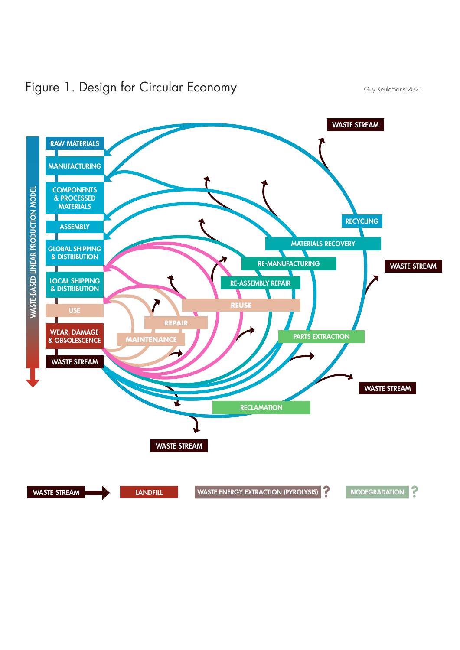

# Figure 1. Design for Circular Economy Guy Keulemans 2021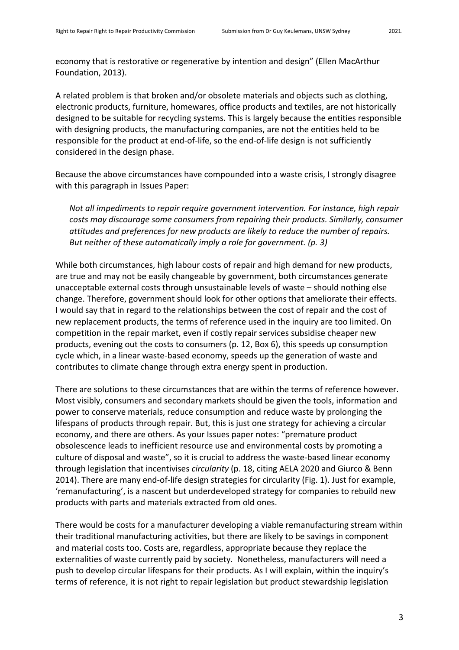economy that is restorative or regenerative by intention and design" (Ellen MacArthur Foundation, 2013).

A related problem is that broken and/or obsolete materials and objects such as clothing, electronic products, furniture, homewares, office products and textiles, are not historically designed to be suitable for recycling systems. This is largely because the entities responsible with designing products, the manufacturing companies, are not the entities held to be responsible for the product at end-of-life, so the end-of-life design is not sufficiently considered in the design phase.

Because the above circumstances have compounded into a waste crisis, I strongly disagree with this paragraph in Issues Paper:

*Not all impediments to repair require government intervention. For instance, high repair costs may discourage some consumers from repairing their products. Similarly, consumer attitudes and preferences for new products are likely to reduce the number of repairs. But neither of these automatically imply a role for government. (p. 3)*

While both circumstances, high labour costs of repair and high demand for new products, are true and may not be easily changeable by government, both circumstances generate unacceptable external costs through unsustainable levels of waste – should nothing else change. Therefore, government should look for other options that ameliorate their effects. I would say that in regard to the relationships between the cost of repair and the cost of new replacement products, the terms of reference used in the inquiry are too limited. On competition in the repair market, even if costly repair services subsidise cheaper new products, evening out the costs to consumers (p. 12, Box 6), this speeds up consumption cycle which, in a linear waste-based economy, speeds up the generation of waste and contributes to climate change through extra energy spent in production.

There are solutions to these circumstances that are within the terms of reference however. Most visibly, consumers and secondary markets should be given the tools, information and power to conserve materials, reduce consumption and reduce waste by prolonging the lifespans of products through repair. But, this is just one strategy for achieving a circular economy, and there are others. As your Issues paper notes: "premature product obsolescence leads to inefficient resource use and environmental costs by promoting a culture of disposal and waste", so it is crucial to address the waste-based linear economy through legislation that incentivises *circularity* (p. 18, citing AELA 2020 and Giurco & Benn 2014). There are many end-of-life design strategies for circularity (Fig. 1). Just for example, 'remanufacturing', is a nascent but underdeveloped strategy for companies to rebuild new products with parts and materials extracted from old ones.

There would be costs for a manufacturer developing a viable remanufacturing stream within their traditional manufacturing activities, but there are likely to be savings in component and material costs too. Costs are, regardless, appropriate because they replace the externalities of waste currently paid by society. Nonetheless, manufacturers will need a push to develop circular lifespans for their products. As I will explain, within the inquiry's terms of reference, it is not right to repair legislation but product stewardship legislation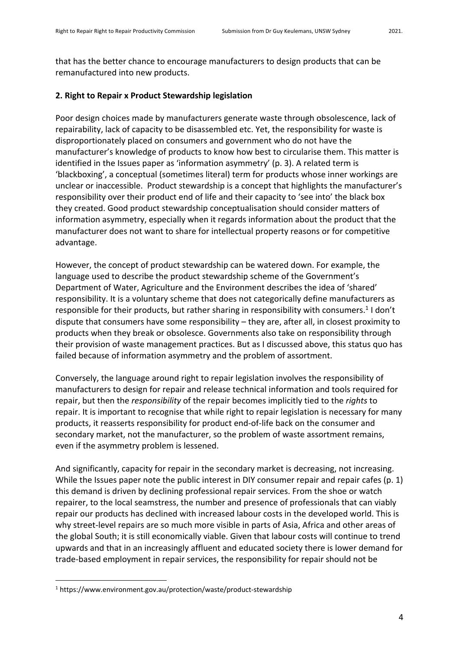that has the better chance to encourage manufacturers to design products that can be remanufactured into new products.

## **2. Right to Repair x Product Stewardship legislation**

Poor design choices made by manufacturers generate waste through obsolescence, lack of repairability, lack of capacity to be disassembled etc. Yet, the responsibility for waste is disproportionately placed on consumers and government who do not have the manufacturer's knowledge of products to know how best to circularise them. This matter is identified in the Issues paper as 'information asymmetry' (p. 3). A related term is 'blackboxing', a conceptual (sometimes literal) term for products whose inner workings are unclear or inaccessible. Product stewardship is a concept that highlights the manufacturer's responsibility over their product end of life and their capacity to 'see into' the black box they created. Good product stewardship conceptualisation should consider matters of information asymmetry, especially when it regards information about the product that the manufacturer does not want to share for intellectual property reasons or for competitive advantage.

However, the concept of product stewardship can be watered down. For example, the language used to describe the product stewardship scheme of the Government's Department of Water, Agriculture and the Environment describes the idea of 'shared' responsibility. It is a voluntary scheme that does not categorically define manufacturers as responsible for their products, but rather sharing in responsibility with consumers.<sup>1</sup> I don't dispute that consumers have some responsibility – they are, after all, in closest proximity to products when they break or obsolesce. Governments also take on responsibility through their provision of waste management practices. But as I discussed above, this status quo has failed because of information asymmetry and the problem of assortment.

Conversely, the language around right to repair legislation involves the responsibility of manufacturers to design for repair and release technical information and tools required for repair, but then the *responsibility* of the repair becomes implicitly tied to the *rights* to repair. It is important to recognise that while right to repair legislation is necessary for many products, it reasserts responsibility for product end-of-life back on the consumer and secondary market, not the manufacturer, so the problem of waste assortment remains, even if the asymmetry problem is lessened.

And significantly, capacity for repair in the secondary market is decreasing, not increasing. While the Issues paper note the public interest in DIY consumer repair and repair cafes (p. 1) this demand is driven by declining professional repair services. From the shoe or watch repairer, to the local seamstress, the number and presence of professionals that can viably repair our products has declined with increased labour costs in the developed world. This is why street-level repairs are so much more visible in parts of Asia, Africa and other areas of the global South; it is still economically viable. Given that labour costs will continue to trend upwards and that in an increasingly affluent and educated society there is lower demand for trade-based employment in repair services, the responsibility for repair should not be

<sup>&</sup>lt;sup>1</sup> https://www.environment.gov.au/protection/waste/product-stewardship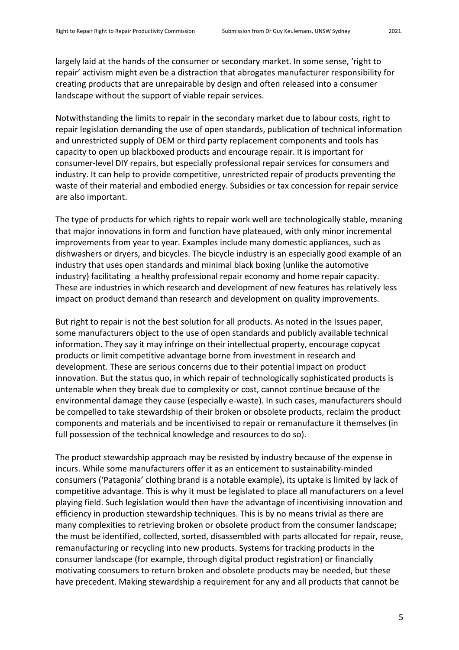landscape without the support of viable repair services.

largely laid at the hands of the consumer or secondary market. In some sense, 'right to repair' activism might even be a distraction that abrogates manufacturer responsibility for creating products that are unrepairable by design and often released into a consumer

Notwithstanding the limits to repair in the secondary market due to labour costs, right to repair legislation demanding the use of open standards, publication of technical information and unrestricted supply of OEM or third party replacement components and tools has capacity to open up blackboxed products and encourage repair. It is important for consumer-level DIY repairs, but especially professional repair services for consumers and industry. It can help to provide competitive, unrestricted repair of products preventing the waste of their material and embodied energy. Subsidies or tax concession for repair service are also important.

The type of products for which rights to repair work well are technologically stable, meaning that major innovations in form and function have plateaued, with only minor incremental improvements from year to year. Examples include many domestic appliances, such as dishwashers or dryers, and bicycles. The bicycle industry is an especially good example of an industry that uses open standards and minimal black boxing (unlike the automotive industry) facilitating a healthy professional repair economy and home repair capacity. These are industries in which research and development of new features has relatively less impact on product demand than research and development on quality improvements.

But right to repair is not the best solution for all products. As noted in the Issues paper, some manufacturers object to the use of open standards and publicly available technical information. They say it may infringe on their intellectual property, encourage copycat products or limit competitive advantage borne from investment in research and development. These are serious concerns due to their potential impact on product innovation. But the status quo, in which repair of technologically sophisticated products is untenable when they break due to complexity or cost, cannot continue because of the environmental damage they cause (especially e-waste). In such cases, manufacturers should be compelled to take stewardship of their broken or obsolete products, reclaim the product components and materials and be incentivised to repair or remanufacture it themselves (in full possession of the technical knowledge and resources to do so).

The product stewardship approach may be resisted by industry because of the expense in incurs. While some manufacturers offer it as an enticement to sustainability-minded consumers ('Patagonia' clothing brand is a notable example), its uptake is limited by lack of competitive advantage. This is why it must be legislated to place all manufacturers on a level playing field. Such legislation would then have the advantage of incentivising innovation and efficiency in production stewardship techniques. This is by no means trivial as there are many complexities to retrieving broken or obsolete product from the consumer landscape; the must be identified, collected, sorted, disassembled with parts allocated for repair, reuse, remanufacturing or recycling into new products. Systems for tracking products in the consumer landscape (for example, through digital product registration) or financially motivating consumers to return broken and obsolete products may be needed, but these have precedent. Making stewardship a requirement for any and all products that cannot be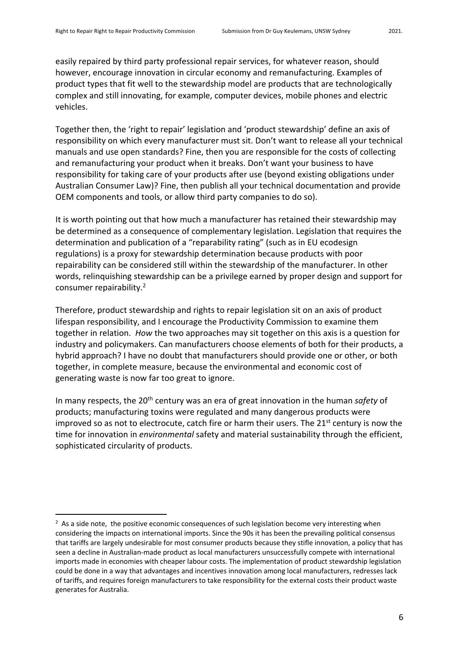easily repaired by third party professional repair services, for whatever reason, should however, encourage innovation in circular economy and remanufacturing. Examples of product types that fit well to the stewardship model are products that are technologically complex and still innovating, for example, computer devices, mobile phones and electric vehicles.

Together then, the 'right to repair' legislation and 'product stewardship' define an axis of responsibility on which every manufacturer must sit. Don't want to release all your technical manuals and use open standards? Fine, then you are responsible for the costs of collecting and remanufacturing your product when it breaks. Don't want your business to have responsibility for taking care of your products after use (beyond existing obligations under Australian Consumer Law)? Fine, then publish all your technical documentation and provide OEM components and tools, or allow third party companies to do so).

It is worth pointing out that how much a manufacturer has retained their stewardship may be determined as a consequence of complementary legislation. Legislation that requires the determination and publication of a "reparability rating" (such as in EU ecodesign regulations) is a proxy for stewardship determination because products with poor repairability can be considered still within the stewardship of the manufacturer. In other words, relinquishing stewardship can be a privilege earned by proper design and support for consumer repairability.<sup>2</sup>

Therefore, product stewardship and rights to repair legislation sit on an axis of product lifespan responsibility, and I encourage the Productivity Commission to examine them together in relation. *How* the two approaches may sit together on this axis is a question for industry and policymakers. Can manufacturers choose elements of both for their products, a hybrid approach? I have no doubt that manufacturers should provide one or other, or both together, in complete measure, because the environmental and economic cost of generating waste is now far too great to ignore.

In many respects, the 20<sup>th</sup> century was an era of great innovation in the human *safety* of products; manufacturing toxins were regulated and many dangerous products were improved so as not to electrocute, catch fire or harm their users. The  $21<sup>st</sup>$  century is now the time for innovation in *environmental* safety and material sustainability through the efficient, sophisticated circularity of products.

 $2$  As a side note, the positive economic consequences of such legislation become very interesting when considering the impacts on international imports. Since the 90s it has been the prevailing political consensus that tariffs are largely undesirable for most consumer products because they stifle innovation, a policy that has seen a decline in Australian-made product as local manufacturers unsuccessfully compete with international imports made in economies with cheaper labour costs. The implementation of product stewardship legislation could be done in a way that advantages and incentives innovation among local manufacturers, redresses lack of tariffs, and requires foreign manufacturers to take responsibility for the external costs their product waste generates for Australia.